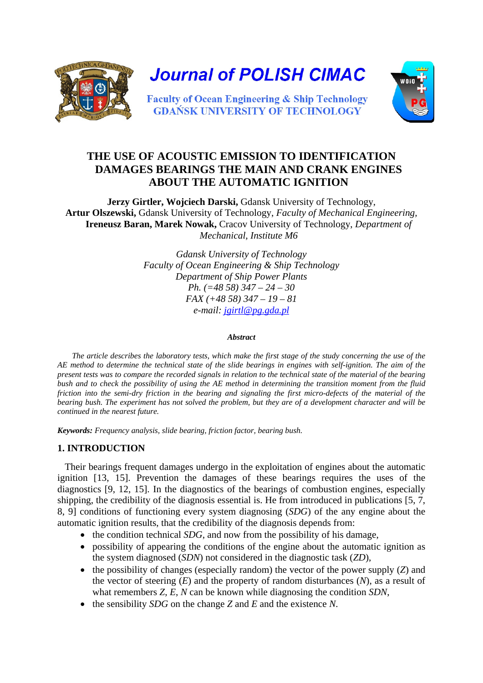

**Journal of POLISH CIMAC** 



**Faculty of Ocean Engineering & Ship Technology GDAŃSK UNIVERSITY OF TECHNOLOGY** 

# **THE USE OF ACOUSTIC EMISSION TO IDENTIFICATION DAMAGES BEARINGS THE MAIN AND CRANK ENGINES ABOUT THE AUTOMATIC IGNITION**

**Jerzy Girtler, Wojciech Darski,** Gdansk University of Technology, **Artur Olszewski,** Gdansk University of Technology, *Faculty of Mechanical Engineering,*  **Ireneusz Baran, Marek Nowak,** Cracov University of Technology, *Department of Mechanical, Institute M6* 

> *Gdansk University of Technology Faculty of Ocean Engineering & Ship Technology Department of Ship Power Plants Ph. (=48 58) 347 – 24 – 30 FAX (+48 58) 347 – 19 – 81 e-mail: jgirtl@pg.gda.pl*

#### *Abstract*

*The article describes the laboratory tests, which make the first stage of the study concerning the use of the AE method to determine the technical state of the slide bearings in engines with self-ignition. The aim of the present tests was to compare the recorded signals in relation to the technical state of the material of the bearing bush and to check the possibility of using the AE method in determining the transition moment from the fluid friction into the semi-dry friction in the bearing and signaling the first micro-defects of the material of the bearing bush. The experiment has not solved the problem, but they are of a development character and will be continued in the nearest future.* 

*Keywords: Frequency analysis, slide bearing, friction factor, bearing bush.*

## **1. INTRODUCTION**

Their bearings frequent damages undergo in the exploitation of engines about the automatic ignition [13, 15]. Prevention the damages of these bearings requires the uses of the diagnostics [9, 12, 15]. In the diagnostics of the bearings of combustion engines, especially shipping, the credibility of the diagnosis essential is. He from introduced in publications [5, 7, 8, 9] conditions of functioning every system diagnosing (*SDG*) of the any engine about the automatic ignition results, that the credibility of the diagnosis depends from:

- the condition technical *SDG*, and now from the possibility of his damage,
- possibility of appearing the conditions of the engine about the automatic ignition as the system diagnosed (*SDN*) not considered in the diagnostic task (*ZD*),
- $\bullet$  the possibility of changes (especially random) the vector of the power supply (*Z*) and the vector of steering (*E*) and the property of random disturbances (*N*), as a result of what remembers *Z*, *E*, *N* can be known while diagnosing the condition *SDN*,
- the sensibility *SDG* on the change *Z* and *E* and the existence *N*.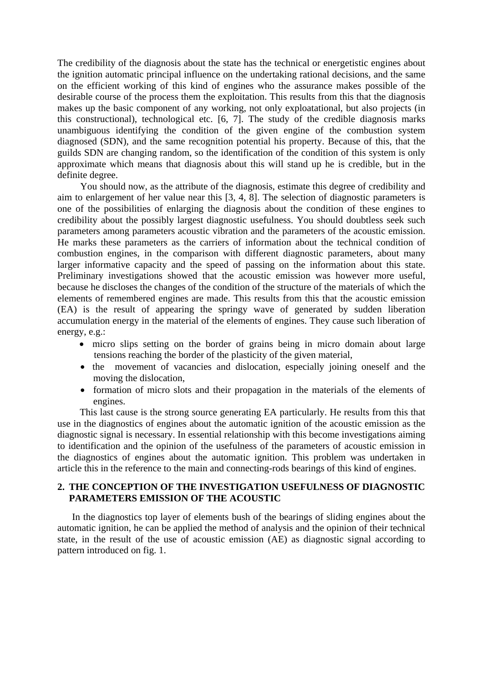The credibility of the diagnosis about the state has the technical or energetistic engines about the ignition automatic principal influence on the undertaking rational decisions, and the same on the efficient working of this kind of engines who the assurance makes possible of the desirable course of the process them the exploitation. This results from this that the diagnosis makes up the basic component of any working, not only exploatational, but also projects (in this constructional), technological etc.  $[6, 7]$ . The study of the credible diagnosis marks unambiguous identifying the condition of the given engine of the combustion system diagnosed (SDN), and the same recognition potential his property. Because of this, that the guilds SDN are changing random, so the identification of the condition of this system is only approximate which means that diagnosis about this will stand up he is credible, but in the definite degree.

You should now, as the attribute of the diagnosis, estimate this degree of credibility and aim to enlargement of her value near this [3, 4, 8]. The selection of diagnostic parameters is one of the possibilities of enlarging the diagnosis about the condition of these engines to credibility about the possibly largest diagnostic usefulness. You should doubtless seek such parameters among parameters acoustic vibration and the parameters of the acoustic emission. He marks these parameters as the carriers of information about the technical condition of combustion engines, in the comparison with different diagnostic parameters, about many larger informative capacity and the speed of passing on the information about this state. Preliminary investigations showed that the acoustic emission was however more useful, because he discloses the changes of the condition of the structure of the materials of which the elements of remembered engines are made. This results from this that the acoustic emission (EA) is the result of appearing the springy wave of generated by sudden liberation accumulation energy in the material of the elements of engines. They cause such liberation of energy, e.g.:

- micro slips setting on the border of grains being in micro domain about large tensions reaching the border of the plasticity of the given material,
- the movement of vacancies and dislocation, especially joining oneself and the moving the dislocation,
- formation of micro slots and their propagation in the materials of the elements of engines.

This last cause is the strong source generating EA particularly. He results from this that use in the diagnostics of engines about the automatic ignition of the acoustic emission as the diagnostic signal is necessary. In essential relationship with this become investigations aiming to identification and the opinion of the usefulness of the parameters of acoustic emission in the diagnostics of engines about the automatic ignition. This problem was undertaken in article this in the reference to the main and connecting-rods bearings of this kind of engines.

### **2. THE CONCEPTION OF THE INVESTIGATION USEFULNESS OF DIAGNOSTIC PARAMETERS EMISSION OF THE ACOUSTIC**

In the diagnostics top layer of elements bush of the bearings of sliding engines about the automatic ignition, he can be applied the method of analysis and the opinion of their technical state, in the result of the use of acoustic emission (AE) as diagnostic signal according to pattern introduced on fig. 1.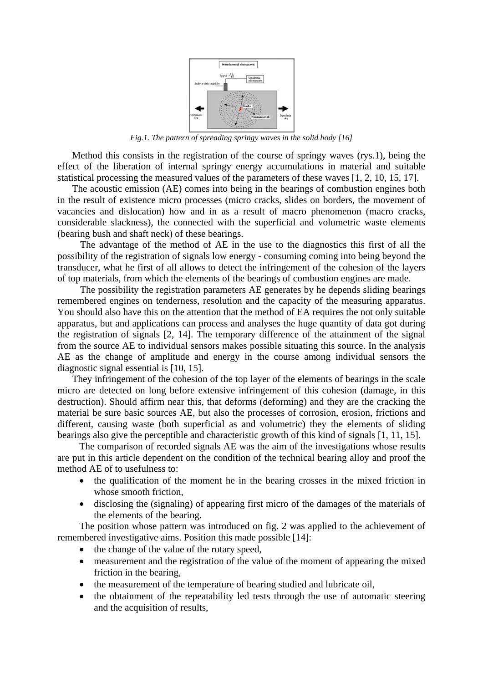

*Fig.1. The pattern of spreading springy waves in the solid body [16]* 

Method this consists in the registration of the course of springy waves (rys.1), being the effect of the liberation of internal springy energy accumulations in material and suitable statistical processing the measured values of the parameters of these waves [1, 2, 10, 15, 17].

The acoustic emission (AE) comes into being in the bearings of combustion engines both in the result of existence micro processes (micro cracks, slides on borders, the movement of vacancies and dislocation) how and in as a result of macro phenomenon (macro cracks, considerable slackness), the connected with the superficial and volumetric waste elements (bearing bush and shaft neck) of these bearings.

The advantage of the method of AE in the use to the diagnostics this first of all the possibility of the registration of signals low energy - consuming coming into being beyond the transducer, what he first of all allows to detect the infringement of the cohesion of the layers of top materials, from which the elements of the bearings of combustion engines are made.

The possibility the registration parameters AE generates by he depends sliding bearings remembered engines on tenderness, resolution and the capacity of the measuring apparatus. You should also have this on the attention that the method of EA requires the not only suitable apparatus, but and applications can process and analyses the huge quantity of data got during the registration of signals [2, 14]. The temporary difference of the attainment of the signal from the source AE to individual sensors makes possible situating this source. In the analysis AE as the change of amplitude and energy in the course among individual sensors the diagnostic signal essential is [10, 15].

They infringement of the cohesion of the top layer of the elements of bearings in the scale micro are detected on long before extensive infringement of this cohesion (damage, in this destruction). Should affirm near this, that deforms (deforming) and they are the cracking the material be sure basic sources AE, but also the processes of corrosion, erosion, frictions and different, causing waste (both superficial as and volumetric) they the elements of sliding bearings also give the perceptible and characteristic growth of this kind of signals [1, 11, 15].

The comparison of recorded signals AE was the aim of the investigations whose results are put in this article dependent on the condition of the technical bearing alloy and proof the method AE of to usefulness to:

- the qualification of the moment he in the bearing crosses in the mixed friction in whose smooth friction,
- disclosing the (signaling) of appearing first micro of the damages of the materials of the elements of the bearing.

The position whose pattern was introduced on fig. 2 was applied to the achievement of remembered investigative aims. Position this made possible [14]:

- the change of the value of the rotary speed,
- measurement and the registration of the value of the moment of appearing the mixed friction in the bearing,
- the measurement of the temperature of bearing studied and lubricate oil,
- the obtainment of the repeatability led tests through the use of automatic steering and the acquisition of results,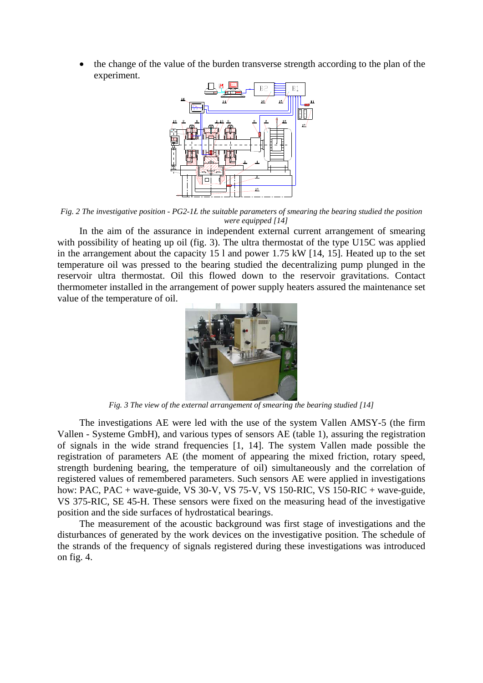the change of the value of the burden transverse strength according to the plan of the experiment.



*Fig. 2 The investigative position - PG2-1Ł the suitable parameters of smearing the bearing studied the position were equipped [14]* 

In the aim of the assurance in independent external current arrangement of smearing with possibility of heating up oil (fig. 3). The ultra thermostat of the type U15C was applied in the arrangement about the capacity 15 l and power 1.75 kW [14, 15]. Heated up to the set temperature oil was pressed to the bearing studied the decentralizing pump plunged in the reservoir ultra thermostat. Oil this flowed down to the reservoir gravitations. Contact thermometer installed in the arrangement of power supply heaters assured the maintenance set value of the temperature of oil.



*Fig. 3 The view of the external arrangement of smearing the bearing studied [14]* 

The investigations AE were led with the use of the system Vallen AMSY-5 (the firm Vallen - Systeme GmbH), and various types of sensors AE (table 1), assuring the registration of signals in the wide strand frequencies [1, 14]. The system Vallen made possible the registration of parameters AE (the moment of appearing the mixed friction, rotary speed, strength burdening bearing, the temperature of oil) simultaneously and the correlation of registered values of remembered parameters. Such sensors AE were applied in investigations how: PAC, PAC + wave-guide, VS 30-V, VS 75-V, VS 150-RIC, VS 150-RIC + wave-guide, VS 375-RIC, SE 45-H. These sensors were fixed on the measuring head of the investigative position and the side surfaces of hydrostatical bearings.

The measurement of the acoustic background was first stage of investigations and the disturbances of generated by the work devices on the investigative position. The schedule of the strands of the frequency of signals registered during these investigations was introduced on fig. 4.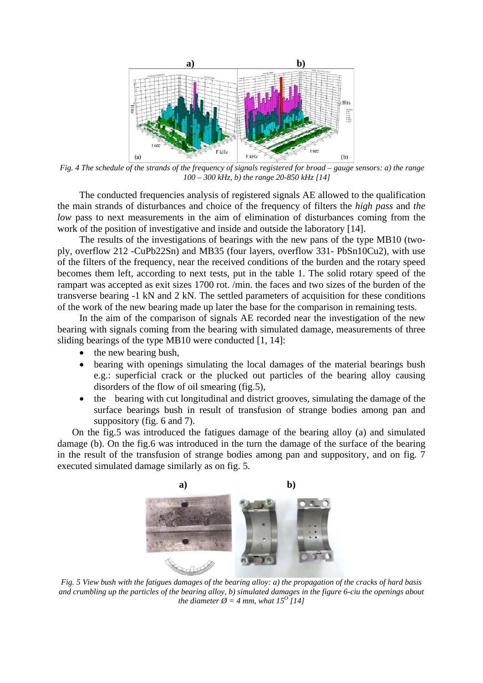

*Fig. 4 The schedule of the strands of the frequency of signals registered for broad – gauge sensors: a) the range 100 – 300 kHz, b) the range 20-850 kHz [14]* 

The conducted frequencies analysis of registered signals AE allowed to the qualification the main strands of disturbances and choice of the frequency of filters the *high pass* and *the low* pass to next measurements in the aim of elimination of disturbances coming from the work of the position of investigative and inside and outside the laboratory [14].

The results of the investigations of bearings with the new pans of the type MB10 (twoply, overflow 212 -CuPb22Sn) and MB35 (four layers, overflow 331- PbSn10Cu2), with use of the filters of the frequency, near the received conditions of the burden and the rotary speed becomes them left, according to next tests, put in the table 1. The solid rotary speed of the rampart was accepted as exit sizes 1700 rot. /min. the faces and two sizes of the burden of the transverse bearing -1 kN and 2 kN. The settled parameters of acquisition for these conditions of the work of the new bearing made up later the base for the comparison in remaining tests.

In the aim of the comparison of signals AE recorded near the investigation of the new bearing with signals coming from the bearing with simulated damage, measurements of three sliding bearings of the type MB10 were conducted [1, 14]:

- the new bearing bush,
- bearing with openings simulating the local damages of the material bearings bush e.g.: superficial crack or the plucked out particles of the bearing alloy causing disorders of the flow of oil smearing (fig.5),
- the bearing with cut longitudinal and district grooves, simulating the damage of the surface bearings bush in result of transfusion of strange bodies among pan and suppository (fig. 6 and 7).

On the fig.5 was introduced the fatigues damage of the bearing alloy (a) and simulated damage (b). On the fig.6 was introduced in the turn the damage of the surface of the bearing in the result of the transfusion of strange bodies among pan and suppository, and on fig. 7 executed simulated damage similarly as on fig. 5.



*Fig. 5 View bush with the fatigues damages of the bearing alloy: a) the propagation of the cracks of hard basis and crumbling up the particles of the bearing alloy, b) simulated damages in the figure 6-ciu the openings about the diameter*  $\varnothing$  *= 4 mm, what 15<sup>0</sup> [14]*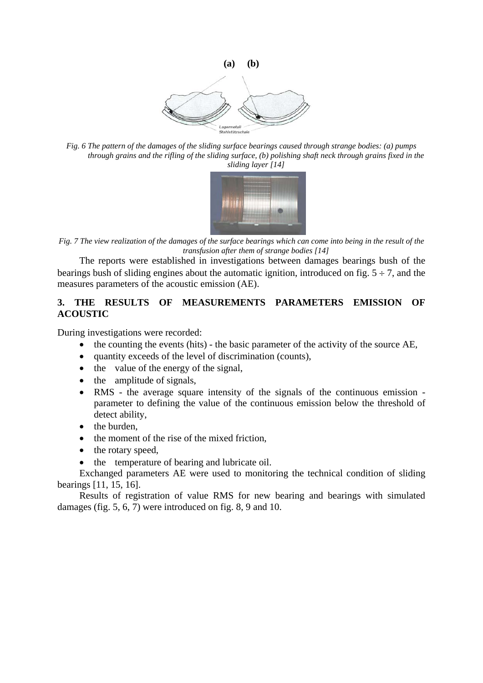

*Fig. 6 The pattern of the damages of the sliding surface bearings caused through strange bodies: (a) pumps through grains and the rifling of the sliding surface, (b) polishing shaft neck through grains fixed in the sliding layer [14]* 



*Fig. 7 The view realization of the damages of the surface bearings which can come into being in the result of the transfusion after them of strange bodies [14]* 

The reports were established in investigations between damages bearings bush of the bearings bush of sliding engines about the automatic ignition, introduced on fig.  $5 \div 7$ , and the measures parameters of the acoustic emission (AE).

### **3. THE RESULTS OF MEASUREMENTS PARAMETERS EMISSION OF ACOUSTIC**

During investigations were recorded:

- the counting the events (hits) the basic parameter of the activity of the source AE,
- quantity exceeds of the level of discrimination (counts),
- $\bullet$  the value of the energy of the signal,
- the amplitude of signals,
- RMS the average square intensity of the signals of the continuous emission parameter to defining the value of the continuous emission below the threshold of detect ability,
- the burden,
- the moment of the rise of the mixed friction,
- the rotary speed,
- the temperature of bearing and lubricate oil.

Exchanged parameters AE were used to monitoring the technical condition of sliding bearings [11, 15, 16].

Results of registration of value RMS for new bearing and bearings with simulated damages (fig. 5, 6, 7) were introduced on fig. 8, 9 and 10.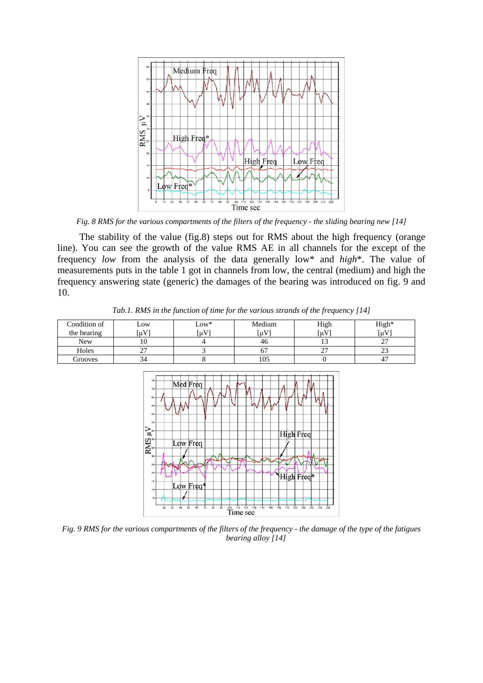

*Fig. 8 RMS for the various compartments of the filters of the frequency - the sliding bearing new [14]* 

The stability of the value (fig.8) steps out for RMS about the high frequency (orange line). You can see the growth of the value RMS AE in all channels for the except of the frequency *low* from the analysis of the data generally low\* and *high*\*. The value of measurements puts in the table 1 got in channels from low, the central (medium) and high the frequency answering state (generic) the damages of the bearing was introduced on fig. 9 and 10.

| Condition of<br>the bearing | Low<br>$\mu$ V | $Low*$<br>$\mu V$ | Medium<br>$\lceil \mu V \rceil$ | High<br>$\mu V$ | High*<br>$\mu$ V |
|-----------------------------|----------------|-------------------|---------------------------------|-----------------|------------------|
| <b>New</b>                  | 10             |                   | 40                              |                 | ^<br>، سه        |
| Holes                       | ∼              |                   |                                 | $\sim$<br>∼     | $\sim$<br>رے     |
| Grooves                     | 34             |                   | 105                             |                 | 4.               |

*Tab.1. RMS in the function of time for the various strands of the frequency [14]* 



*Fig. 9 RMS for the various compartments of the filters of the frequency - the damage of the type of the fatigues bearing alloy [14]*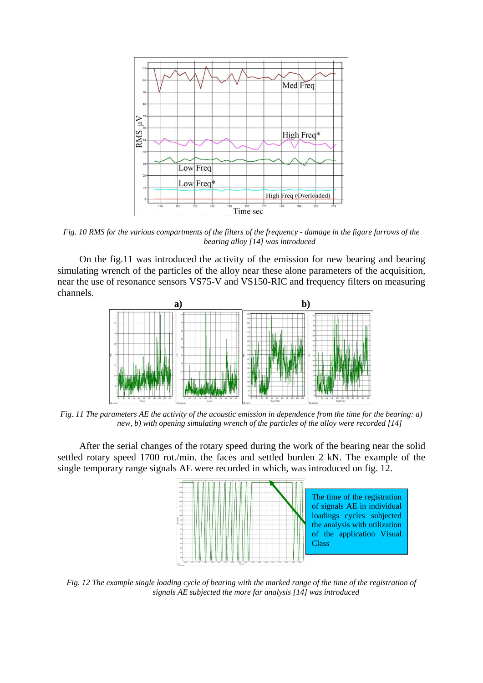

*Fig. 10 RMS for the various compartments of the filters of the frequency - damage in the figure furrows of the bearing alloy [14] was introduced* 

On the fig.11 was introduced the activity of the emission for new bearing and bearing simulating wrench of the particles of the alloy near these alone parameters of the acquisition, near the use of resonance sensors VS75-V and VS150-RIC and frequency filters on measuring channels.



*Fig. 11 The parameters AE the activity of the acoustic emission in dependence from the time for the bearing: a) new, b) with opening simulating wrench of the particles of the alloy were recorded [14]* 

After the serial changes of the rotary speed during the work of the bearing near the solid settled rotary speed 1700 rot./min. the faces and settled burden 2 kN. The example of the single temporary range signals AE were recorded in which, was introduced on fig. 12.



*Fig. 12 The example single loading cycle of bearing with the marked range of the time of the registration of signals AE subjected the more far analysis [14] was introduced*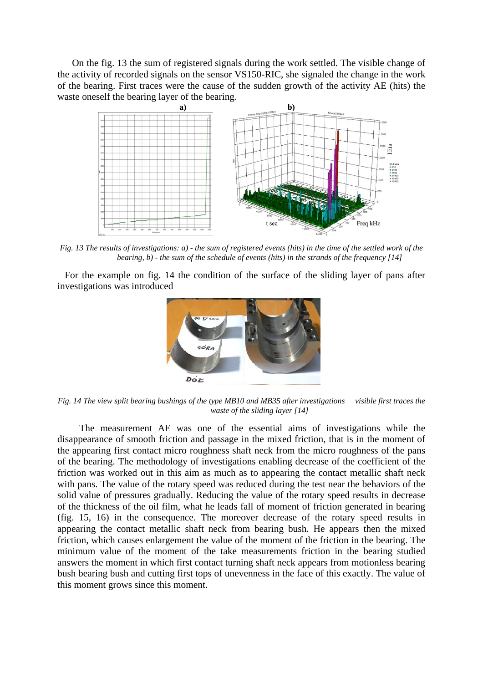On the fig. 13 the sum of registered signals during the work settled. The visible change of the activity of recorded signals on the sensor VS150-RIC, she signaled the change in the work of the bearing. First traces were the cause of the sudden growth of the activity AE (hits) the waste oneself the bearing layer of the bearing.



*Fig. 13 The results of investigations: a) - the sum of registered events (hits) in the time of the settled work of the bearing, b) - the sum of the schedule of events (hits) in the strands of the frequency [14]* 

For the example on fig. 14 the condition of the surface of the sliding layer of pans after investigations was introduced



*Fig. 14 The view split bearing bushings of the type MB10 and MB35 after investigations visible first traces the waste of the sliding layer [14]* 

The measurement AE was one of the essential aims of investigations while the disappearance of smooth friction and passage in the mixed friction, that is in the moment of the appearing first contact micro roughness shaft neck from the micro roughness of the pans of the bearing. The methodology of investigations enabling decrease of the coefficient of the friction was worked out in this aim as much as to appearing the contact metallic shaft neck with pans. The value of the rotary speed was reduced during the test near the behaviors of the solid value of pressures gradually. Reducing the value of the rotary speed results in decrease of the thickness of the oil film, what he leads fall of moment of friction generated in bearing (fig. 15, 16) in the consequence. The moreover decrease of the rotary speed results in appearing the contact metallic shaft neck from bearing bush. He appears then the mixed friction, which causes enlargement the value of the moment of the friction in the bearing. The minimum value of the moment of the take measurements friction in the bearing studied answers the moment in which first contact turning shaft neck appears from motionless bearing bush bearing bush and cutting first tops of unevenness in the face of this exactly. The value of this moment grows since this moment.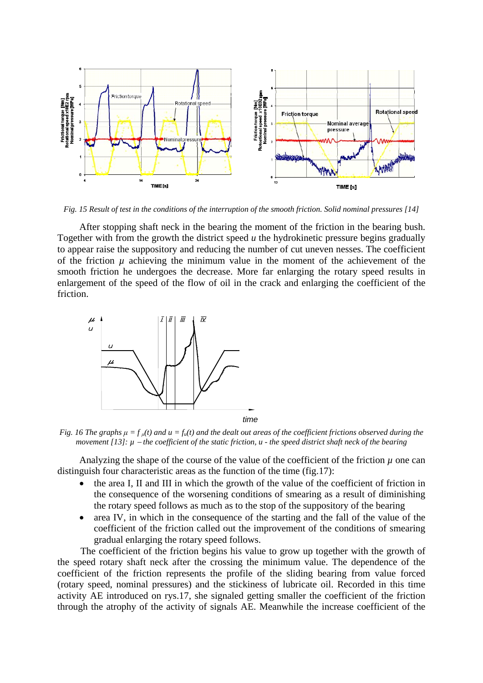

*Fig. 15 Result of test in the conditions of the interruption of the smooth friction. Solid nominal pressures [14]* 

After stopping shaft neck in the bearing the moment of the friction in the bearing bush. Together with from the growth the district speed *u* the hydrokinetic pressure begins gradually to appear raise the suppository and reducing the number of cut uneven nesses. The coefficient of the friction  $\mu$  achieving the minimum value in the moment of the achievement of the smooth friction he undergoes the decrease. More far enlarging the rotary speed results in enlargement of the speed of the flow of oil in the crack and enlarging the coefficient of the friction.



*Fig. 16 The graphs*  $\mu = f_{\mu}(t)$  *and*  $\mu = f_{\mu}(t)$  *and the dealt out areas of the coefficient frictions observed during the movement [13]: µ the coefficient of the static friction, u - the speed district shaft neck of the bearing* 

Analyzing the shape of the course of the value of the coefficient of the friction  $\mu$  one can distinguish four characteristic areas as the function of the time (fig.17):

- the area I, II and III in which the growth of the value of the coefficient of friction in the consequence of the worsening conditions of smearing as a result of diminishing the rotary speed follows as much as to the stop of the suppository of the bearing
- area IV, in which in the consequence of the starting and the fall of the value of the coefficient of the friction called out the improvement of the conditions of smearing gradual enlarging the rotary speed follows.

The coefficient of the friction begins his value to grow up together with the growth of the speed rotary shaft neck after the crossing the minimum value. The dependence of the coefficient of the friction represents the profile of the sliding bearing from value forced (rotary speed, nominal pressures) and the stickiness of lubricate oil. Recorded in this time activity AE introduced on rys.17, she signaled getting smaller the coefficient of the friction through the atrophy of the activity of signals AE. Meanwhile the increase coefficient of the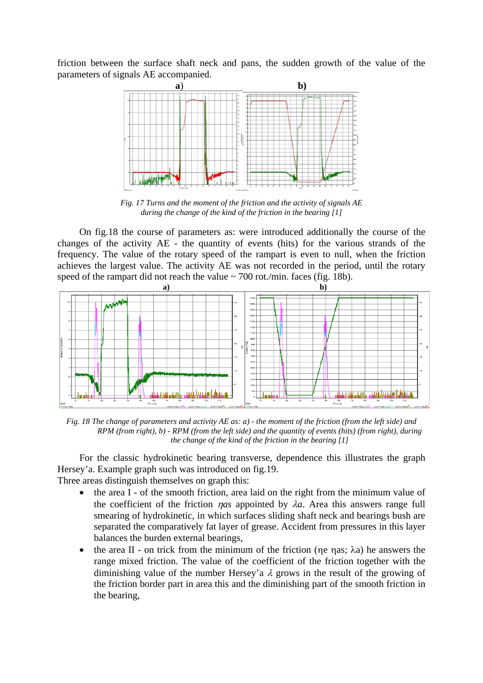friction between the surface shaft neck and pans, the sudden growth of the value of the parameters of signals AE accompanied.



*Fig. 17 Turns and the moment of the friction and the activity of signals AE during the change of the kind of the friction in the bearing [1]* 

On fig.18 the course of parameters as: were introduced additionally the course of the changes of the activity AE - the quantity of events (hits) for the various strands of the frequency. The value of the rotary speed of the rampart is even to null, when the friction achieves the largest value. The activity AE was not recorded in the period, until the rotary speed of the rampart did not reach the value  $\sim$  700 rot./min. faces (fig. 18b).



*Fig. 18 The change of parameters and activity AE as: a) - the moment of the friction (from the left side) and RPM (from right), b) - RPM (from the left side) and the quantity of events (hits) (from right), during the change of the kind of the friction in the bearing [1]* 

For the classic hydrokinetic bearing transverse, dependence this illustrates the graph Hersey'a. Example graph such was introduced on fig.19.

Three areas distinguish themselves on graph this:

- the area I of the smooth friction, area laid on the right from the minimum value of the coefficient of the friction *nas* appointed by  $\lambda a$ . Area this answers range full smearing of hydrokinetic, in which surfaces sliding shaft neck and bearings bush are separated the comparatively fat layer of grease. Accident from pressures in this layer balances the burden external bearings,
- the area II on trick from the minimum of the friction ( $\eta e$   $\eta$ as;  $\lambda a$ ) he answers the range mixed friction. The value of the coefficient of the friction together with the diminishing value of the number Hersey'a  $\lambda$  grows in the result of the growing of the friction border part in area this and the diminishing part of the smooth friction in the bearing,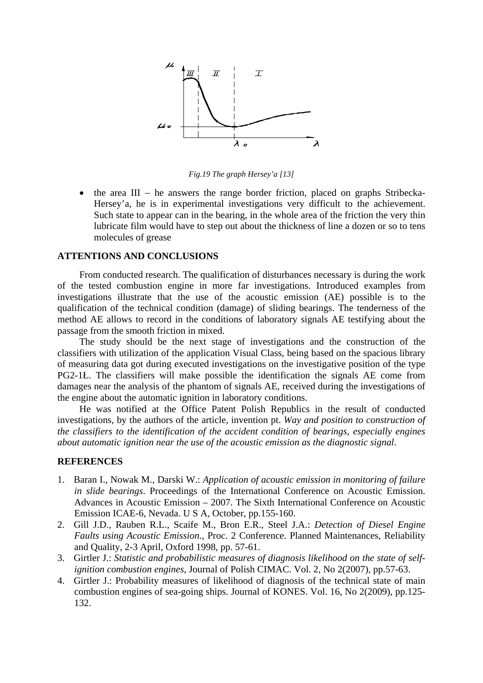

*Fig.19 The graph Hersey'a [13]* 

 $\bullet$  the area III – he answers the range border friction, placed on graphs Stribecka-Hersey'a, he is in experimental investigations very difficult to the achievement. Such state to appear can in the bearing, in the whole area of the friction the very thin lubricate film would have to step out about the thickness of line a dozen or so to tens molecules of grease

#### **ATTENTIONS AND CONCLUSIONS**

From conducted research. The qualification of disturbances necessary is during the work of the tested combustion engine in more far investigations. Introduced examples from investigations illustrate that the use of the acoustic emission (AE) possible is to the qualification of the technical condition (damage) of sliding bearings. The tenderness of the method AE allows to record in the conditions of laboratory signals AE testifying about the passage from the smooth friction in mixed.

The study should be the next stage of investigations and the construction of the classifiers with utilization of the application Visual Class, being based on the spacious library of measuring data got during executed investigations on the investigative position of the type PG2-1Ł. The classifiers will make possible the identification the signals AE come from damages near the analysis of the phantom of signals AE, received during the investigations of the engine about the automatic ignition in laboratory conditions.

He was notified at the Office Patent Polish Republics in the result of conducted investigations, by the authors of the article, invention pt. *Way and position to construction of the classifiers to the identification of the accident condition of bearings, especially engines about automatic ignition near the use of the acoustic emission as the diagnostic signal*.

#### **REFERENCES**

- 1. Baran I., Nowak M., Darski W.: *Application of acoustic emission in monitoring of failure in slide bearings*. Proceedings of the International Conference on Acoustic Emission. Advances in Acoustic Emission – 2007. The Sixth International Conference on Acoustic Emission ICAE-6, Nevada. U S A, October, pp.155-160.
- 2. Gill J.D., Rauben R.L., Scaife M., Bron E.R., Steel J.A.: *Detection of Diesel Engine Faults using Acoustic Emission*., Proc. 2 Conference. Planned Maintenances, Reliability and Quality, 2-3 April, Oxford 1998, pp. 57-61.
- 3. Girtler J.: *Statistic and probabilistic measures of diagnosis likelihood on the state of selfignition combustion engines*, Journal of Polish CIMAC. Vol. 2, No 2(2007), pp.57-63.
- 4. Girtler J.: Probability measures of likelihood of diagnosis of the technical state of main combustion engines of sea-going ships. Journal of KONES. Vol. 16, No 2(2009), pp.125- 132.